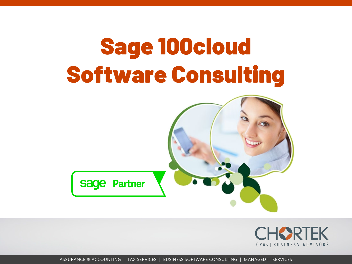



ASSURANCE & ACCOUNTING | TAX SERVICES | BUSINESS SOFTWARE CONSULTING | MANAGED IT SERVICES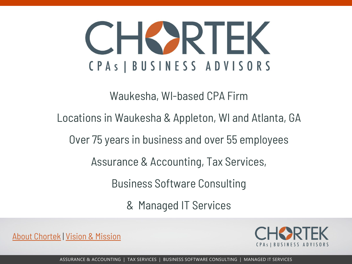# CHORIEK CPAS | BUSINESS ADVISORS

Waukesha, WI-based CPA Firm

Locations in Waukesha & Appleton, WI and Atlanta, GA

Over 75 years in business and over 55 employees

Assurance & Accounting, Tax Services,

Business Software Consulting

& Managed IT Services

[About Chortek](https://www.chortek.com/about-us-business-advisory-firm/) | [Vision & Mission](https://www.chortek.com/about-us-business-advisory-firm/vision-and-mission/)

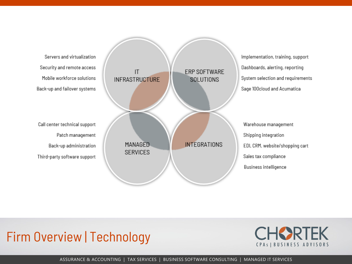Servers and virtualization Security and remote access Mobile workforce solutions Back-up and failover systems

Call center technical support Patch management Back-up administration Third-party software support



Implementation, training, support Dashboards, alerting, reporting System selection and requirements Sage 100cloud and Acumatica

Warehouse management Shipping integration EDI, CRM, website/shopping cart Sales tax compliance Business intelligence

#### Firm Overview | Technology

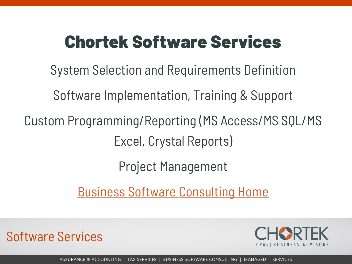# Chortek Software Services

System Selection and Requirements Definition

Software Implementation, Training & Support

Custom Programming/Reporting (MS Access/MS SQL/MS Excel, Crystal Reports)

Project Management

[Business Software Consulting Home](https://www.chortek.com/business-software-consulting/)

Software Services

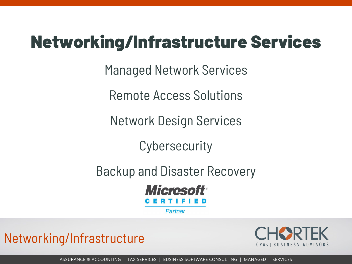# Networking/Infrastructure Services

Managed Network Services

Remote Access Solutions

Network Design Services

**Cybersecurity** 

Backup and Disaster Recovery



**Partner** 

Networking/Infrastructure

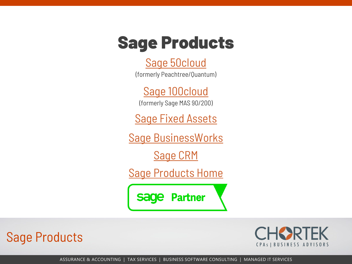### Sage Products

#### [Sage 50cloud](https://www.chortek.com/business-software-consulting/sage-products/sage-50-cloud/)

(formerly Peachtree/Quantum)

[Sage 100cloud](https://www.chortek.com/business-software-consulting/sage-products/sage-100cloud/) (formerly Sage MAS 90/200)

**Sage Fixed Assets** 

[Sage BusinessWorks](https://www.sage.com/en-us/products/sage-businessworks/)

[Sage CRM](https://www.chortek.com/business-software-consulting/sage-products/sales-systems-sage-crm/)

[Sage Products Home](https://www.chortek.com/business-software-consulting/sage-products/)

Sage Partner

Sage Products

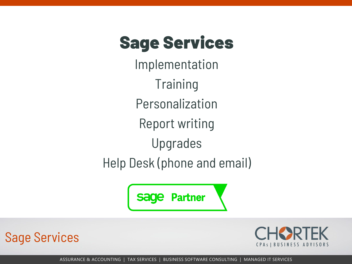## Sage Services

Implementation **Training** Personalization Report writing Upgrades Help Desk (phone and email)

> **Partner** sage

Sage Services

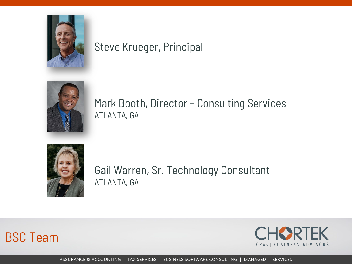

#### Steve Krueger, Principal



Mark Booth, Director – Consulting Services ATLANTA, GA



Gail Warren, Sr. Technology Consultant ATLANTA, GA



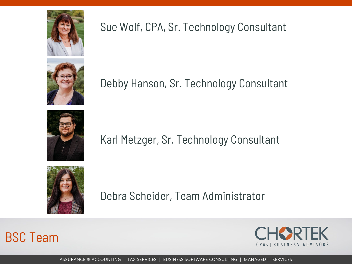

#### Sue Wolf, CPA, Sr. Technology Consultant



Debby Hanson, Sr. Technology Consultant



#### Karl Metzger, Sr. Technology Consultant



Debra Scheider, Team Administrator



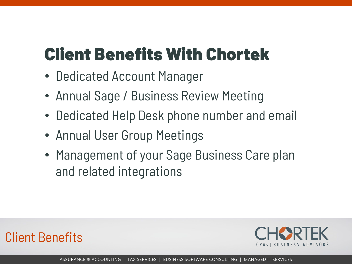# Client Benefits With Chortek

- Dedicated Account Manager
- Annual Sage / Business Review Meeting
- Dedicated Help Desk phone number and email
- Annual User Group Meetings
- Management of your Sage Business Care plan and related integrations



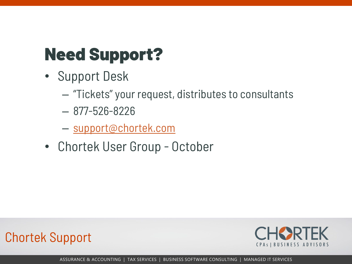# Need Support?

- Support Desk
	- "Tickets" your request, distributes to consultants
	- 877-526-8226
	- [support@chortek.com](mailto:support@chortek.com)
- Chortek User Group October



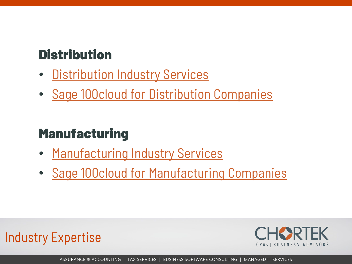### **Distribution**

- [Distribution Industry Services](https://www.chortek.com/industries/distribution-industry-services/)
- [Sage 100cloud for Distribution Companies](https://www.chortek.com/business-software-consulting/sage-products/sage-100cloud/sage-100cloud-distribution/)

### **Manufacturing**

- [Manufacturing Industry Services](https://www.chortek.com/industries/manufacturing-industry-services/)
- [Sage 100cloud for Manufacturing Companies](https://www.chortek.com/business-software-consulting/sage-products/sage-100cloud/sage-100cloud-manufacturing/)



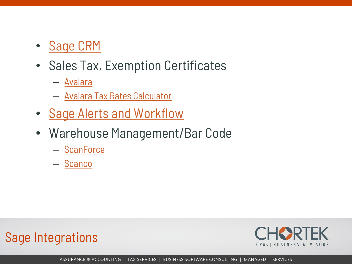- [Sage CRM](https://www.chortek.com/business-software-consulting/sage-products/sales-systems-sage-crm/)
- Sales Tax, Exemption Certificates
	- [Avalara](http://www.avalara.com/)
	- [Avalara Tax Rates Calculator](https://www.avalara.com/taxrates/en/calculator.html)
- [Sage Alerts and Workflow](http://www.alertsandworkflow.com/)
- Warehouse Management/Bar Code
	- [ScanForce](http://www.scanforce.com/)
	- [Scanco](http://www.scanco.com/)



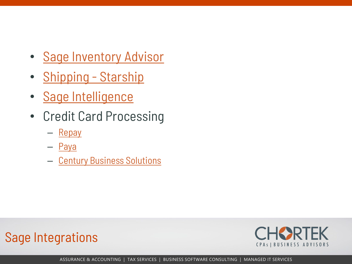- [Sage Inventory Advisor](https://www.sage.com/us/sage-inventory-advisor)
- [Shipping -](http://www.vtechnologies.com/integrated-shipping-software) Starship
- [Sage Intelligence](https://www.sageintelligence.com/)
- Credit Card Processing
	- [Repay](https://www.repay.com/)
	- [Paya](https://paya.com/merchants/)
	- [Century Business Solutions](https://www.centurybizsolutions.net/)



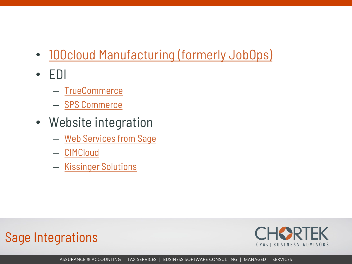- [100cloud Manufacturing \(formerly JobOps\)](http://www.scanco.com/manufacturing-automation/sage-manufacturing/)
- EDI
	- [TrueCommerce](http://www.truecommerce.com/)
	- [SPS Commerce](https://www.spscommerce.com/)
- Website integration
	- [Web Services from Sage](https://developer.sage.com/api/x3/import-export-guide/developing-with-web-services/)
	- [CIMCloud](https://www.cimcloud.com/)
	- [Kissinger Solutions](http://www.kissingersolutions.com/web-stor/)



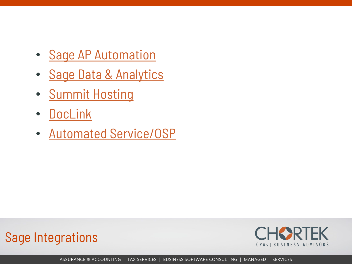- [Sage AP Automation](https://www.chortek.com/business-software-consulting/sage-products/sage-100-integrations/sage-ap-automation/)
- [Sage Data & Analytics](https://www.chortek.com/business-software-consulting/sage-products/sage-100-integrations/sage-data-analytics/)
- [Summit Hosting](https://www.summithosting.com/)
- [DocLink](https://www.altec-inc.com/products/doclink/)
- [Automated Service/OSP](https://www.ascent-sys.com/)





ASSURANCE & ACCOUNTING | TAX SERVICES | BUSINESS SOFTWARE CONSULTING | MANAGED IT SERVICES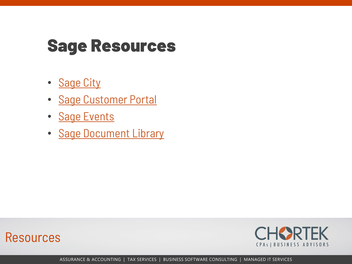### Sage Resources

- [Sage City](https://www.sagecity.com/support_communities/sage100_erp/)
- [Sage Customer Portal](https://customers.sagenorthamerica.com/)
- [Sage Events](https://www.sage.com/en-us/company/events/)
- [Sage Document Library](https://www.chortek.com/business-software-consulting/bsc-resources/sage-software-document-library/)



Resources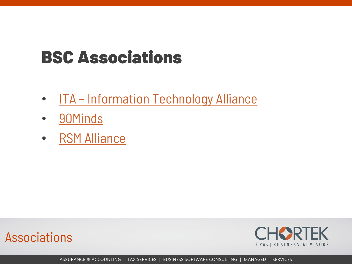# BSC Associations

- ITA [Information Technology Alliance](https://www.italliance.com/)
- [90Minds](https://www.90minds.com/)
- [RSM Alliance](https://www.chortek.com/about-us-business-advisory-firm/member-rsm-us-alliance/)